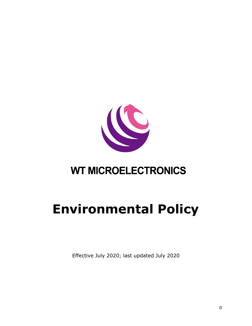

## **WT MICROELECTRONICS**

## **Environmental Policy**

Effective July 2020; last updated July 2020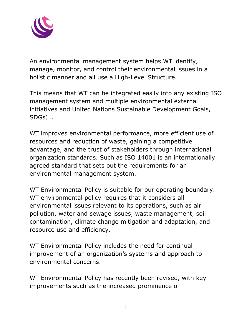

An environmental management system helps WT identify, manage, monitor, and control their environmental issues in a holistic manner and all use a High-Level Structure.

This means that WT can be integrated easily into any existing ISO management system and multiple environmental external initiatives and United Nations Sustainable Development Goals, SDGs).

WT improves environmental performance, more efficient use of resources and reduction of waste, gaining a competitive advantage, and the trust of stakeholders through international organization standards. Such as ISO 14001 is an internationally agreed standard that sets out the requirements for an environmental management system.

WT Environmental Policy is suitable for our operating boundary. WT environmental policy requires that it considers all environmental issues relevant to its operations, such as air pollution, water and sewage issues, waste management, soil contamination, climate change mitigation and adaptation, and resource use and efficiency.

WT Environmental Policy includes the need for continual improvement of an organization's systems and approach to environmental concerns.

WT Environmental Policy has recently been revised, with key improvements such as the increased prominence of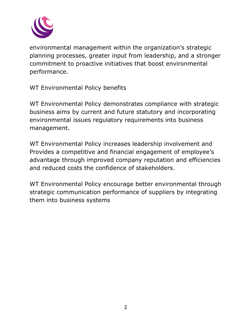

environmental management within the organization's strategic planning processes, greater input from leadership, and a stronger commitment to proactive initiatives that boost environmental performance.

WT Environmental Policy benefits

WT Environmental Policy demonstrates compliance with strategic business aims by current and future statutory and incorporating environmental issues regulatory requirements into business management.

WT Environmental Policy increases leadership involvement and Provides a competitive and financial engagement of employee's advantage through improved company reputation and efficiencies and reduced costs the confidence of stakeholders.

WT Environmental Policy encourage better environmental through strategic communication performance of suppliers by integrating them into business systems